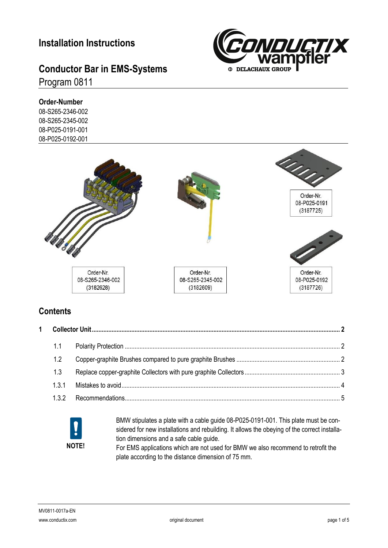### **Installation Instructions**

# **Conductor Bar in EMS-Systems**

#### Program 0811

**Order-Number** 08-S265-2346-002

08-S265-2345-002 08-P025-0191-001 08-P025-0192-001





#### **Contents**

|  | 1.1 |  |  |
|--|-----|--|--|
|  |     |  |  |
|  | 1.2 |  |  |
|  | 1.3 |  |  |
|  | 131 |  |  |
|  | 132 |  |  |



BMW stipulates a plate with a cable guide 08-P025-0191-001. This plate must be considered for new installations and rebuilding. It allows the obeying of the correct installation dimensions and a safe cable guide.

For EMS applications which are not used for BMW we also recommend to retrofit the plate according to the distance dimension of 75 mm.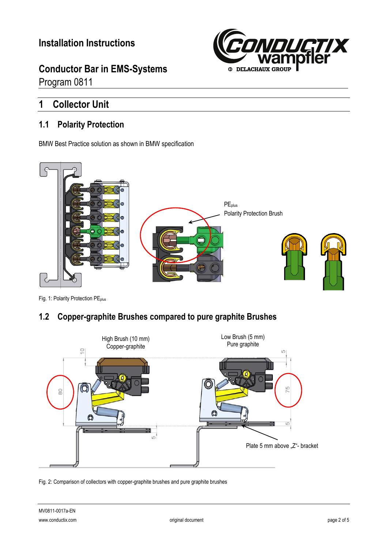**Conductor Bar in EMS-Systems** Program 0811



### <span id="page-1-0"></span>**1 Collector Unit**

#### <span id="page-1-1"></span>**1.1 Polarity Protection**

BMW Best Practice solution as shown in BMW specification



Fig. 1: Polarity Protection PE<sub>plus</sub>

#### <span id="page-1-2"></span>**1.2 Copper-graphite Brushes compared to pure graphite Brushes**



Fig. 2: Comparison of collectors with copper-graphite brushes and pure graphite brushes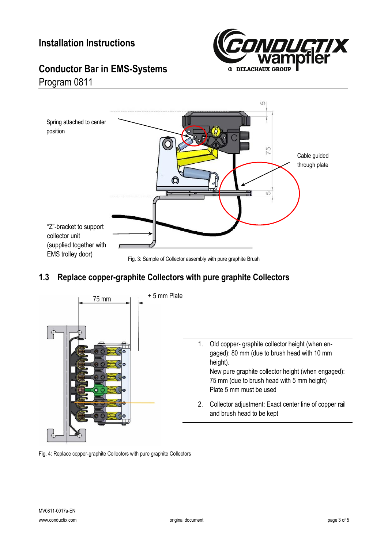

## **Conductor Bar in EMS-Systems** Program 0811



### <span id="page-2-0"></span>**1.3 Replace copper-graphite Collectors with pure graphite Collectors**



Fig. 4: Replace copper-graphite Collectors with pure graphite Collectors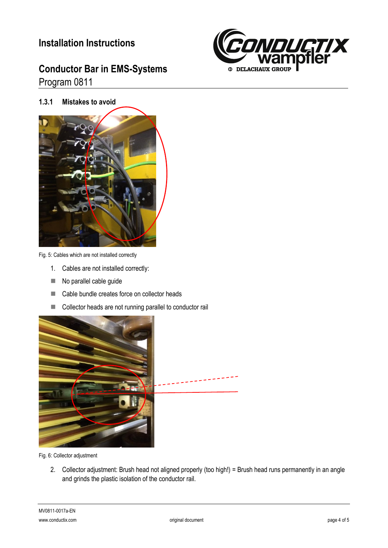### **Installation Instructions**

## **Conductor Bar in EMS-Systems** Program 0811



<span id="page-3-0"></span>**1.3.1 Mistakes to avoid**



Fig. 5: Cables which are not installed correctly

- 1. Cables are not installed correctly:
- $\blacksquare$  No parallel cable guide
- Cable bundle creates force on collector heads
- Collector heads are not running parallel to conductor rail



Fig. 6: Collector adjustment

2. Collector adjustment: Brush head not aligned properly (too high!) = Brush head runs permanently in an angle and grinds the plastic isolation of the conductor rail.